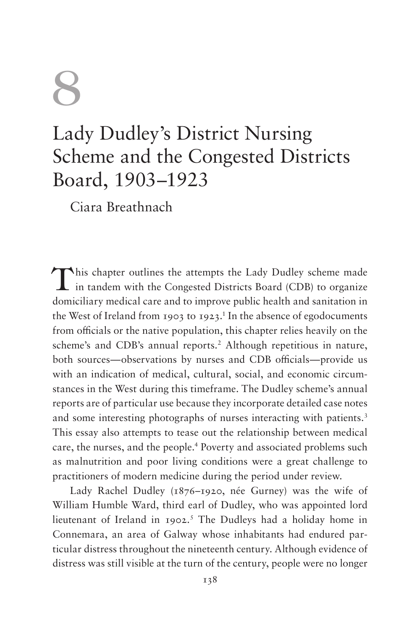## 8

## Lady Dudley's District Nursing Scheme and the Congested Districts Board, 1903–1923

Ciara Breathnach

This chapter outlines the attempts the Lady Dudley scheme made<br>in tandem with the Congested Districts Board (CDB) to organize domiciliary medical care and to improve public health and sanitation in the West of Ireland from 1903 to 1923.<sup>1</sup> In the absence of egodocuments from officials or the native population, this chapter relies heavily on the scheme's and CDB's annual reports.<sup>2</sup> Although repetitious in nature, both sources—observations by nurses and CDB officials—provide us with an indication of medical, cultural, social, and economic circumstances in the West during this timeframe. The Dudley scheme's annual reports are of particular use because they incorporate detailed case notes and some interesting photographs of nurses interacting with patients.<sup>3</sup> This essay also attempts to tease out the relationship between medical care, the nurses, and the people.4 Poverty and associated problems such as malnutrition and poor living conditions were a great challenge to practitioners of modern medicine during the period under review.

Lady Rachel Dudley (1876–1920, née Gurney) was the wife of William Humble Ward, third earl of Dudley, who was appointed lord lieutenant of Ireland in 1902.<sup>5</sup> The Dudleys had a holiday home in Connemara, an area of Galway whose inhabitants had endured particular distress throughout the nineteenth century. Although evidence of distress was still visible at the turn of the century, people were no longer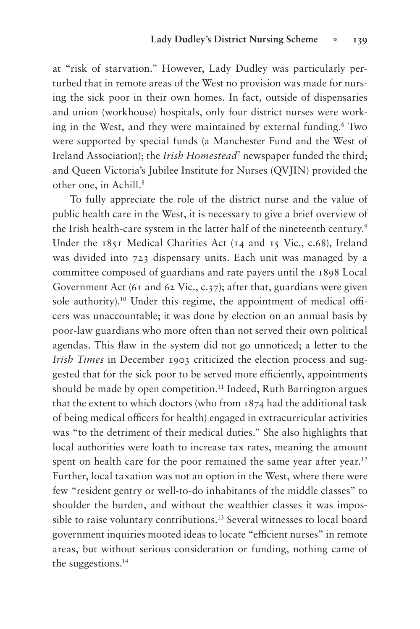at "risk of starvation." However, Lady Dudley was particularly perturbed that in remote areas of the West no provision was made for nursing the sick poor in their own homes. In fact, outside of dispensaries and union (workhouse) hospitals, only four district nurses were working in the West, and they were maintained by external funding.6 Two were supported by special funds (a Manchester Fund and the West of Ireland Association); the *Irish Homestead*<sup>7</sup> newspaper funded the third; and Queen Victoria's Jubilee Institute for Nurses (QVJIN) provided the other one, in Achill.<sup>8</sup>

To fully appreciate the role of the district nurse and the value of public health care in the West, it is necessary to give a brief overview of the Irish health-care system in the latter half of the nineteenth century.<sup>9</sup> Under the 1851 Medical Charities Act (14 and 15 Vic., c.68), Ireland was divided into 723 dispensary units. Each unit was managed by a committee composed of guardians and rate payers until the 1898 Local Government Act (61 and 62 Vic., c.37); after that, guardians were given sole authority).<sup>10</sup> Under this regime, the appointment of medical officers was unaccountable; it was done by election on an annual basis by poor-law guardians who more often than not served their own political agendas. This flaw in the system did not go unnoticed; a letter to the *Irish Times* in December 1903 criticized the election process and suggested that for the sick poor to be served more efficiently, appointments should be made by open competition.<sup>11</sup> Indeed, Ruth Barrington argues that the extent to which doctors (who from 1874 had the additional task of being medical officers for health) engaged in extracurricular activities was "to the detriment of their medical duties." She also highlights that local authorities were loath to increase tax rates, meaning the amount spent on health care for the poor remained the same year after year.<sup>12</sup> Further, local taxation was not an option in the West, where there were few "resident gentry or well-to-do inhabitants of the middle classes" to shoulder the burden, and without the wealthier classes it was impossible to raise voluntary contributions.<sup>13</sup> Several witnesses to local board government inquiries mooted ideas to locate "efficient nurses" in remote areas, but without serious consideration or funding, nothing came of the suggestions.14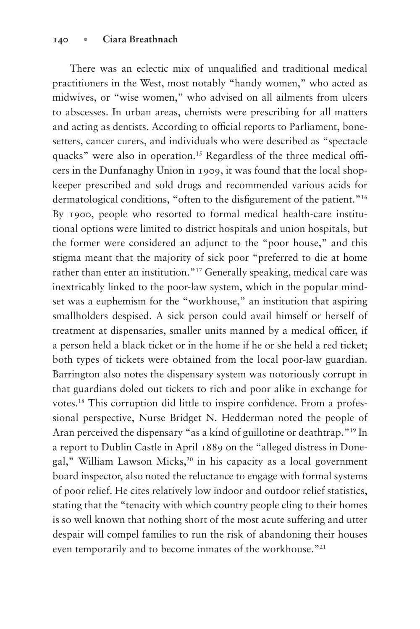There was an eclectic mix of unqualified and traditional medical practitioners in the West, most notably "handy women," who acted as midwives, or "wise women," who advised on all ailments from ulcers to abscesses. In urban areas, chemists were prescribing for all matters and acting as dentists. According to official reports to Parliament, bonesetters, cancer curers, and individuals who were described as "spectacle quacks" were also in operation.<sup>15</sup> Regardless of the three medical officers in the Dunfanaghy Union in 1909, it was found that the local shopkeeper prescribed and sold drugs and recommended various acids for dermatological conditions, "often to the disfigurement of the patient."<sup>16</sup> By 1900, people who resorted to formal medical health-care institutional options were limited to district hospitals and union hospitals, but the former were considered an adjunct to the "poor house," and this stigma meant that the majority of sick poor "preferred to die at home rather than enter an institution."17 Generally speaking, medical care was inextricably linked to the poor-law system, which in the popular mindset was a euphemism for the "workhouse," an institution that aspiring smallholders despised. A sick person could avail himself or herself of treatment at dispensaries, smaller units manned by a medical officer, if a person held a black ticket or in the home if he or she held a red ticket; both types of tickets were obtained from the local poor-law guardian. Barrington also notes the dispensary system was notoriously corrupt in that guardians doled out tickets to rich and poor alike in exchange for votes.<sup>18</sup> This corruption did little to inspire confidence. From a professional perspective, Nurse Bridget N. Hedderman noted the people of Aran perceived the dispensary "as a kind of guillotine or deathtrap."19 In a report to Dublin Castle in April 1889 on the "alleged distress in Donegal," William Lawson Micks,<sup>20</sup> in his capacity as a local government board inspector, also noted the reluctance to engage with formal systems of poor relief. He cites relatively low indoor and outdoor relief statistics, stating that the "tenacity with which country people cling to their homes is so well known that nothing short of the most acute suffering and utter despair will compel families to run the risk of abandoning their houses even temporarily and to become inmates of the workhouse."21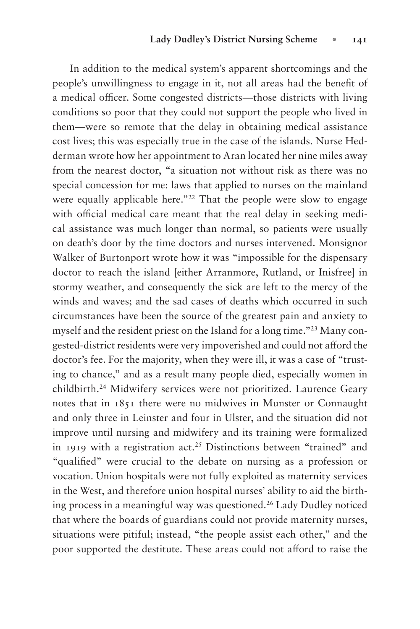In addition to the medical system's apparent shortcomings and the people's unwillingness to engage in it, not all areas had the benefit of a medical officer. Some congested districts—those districts with living conditions so poor that they could not support the people who lived in them—were so remote that the delay in obtaining medical assistance cost lives; this was especially true in the case of the islands. Nurse Hedderman wrote how her appointment to Aran located her nine miles away from the nearest doctor, "a situation not without risk as there was no special concession for me: laws that applied to nurses on the mainland were equally applicable here."<sup>22</sup> That the people were slow to engage with official medical care meant that the real delay in seeking medical assistance was much longer than normal, so patients were usually on death's door by the time doctors and nurses intervened. Monsignor Walker of Burtonport wrote how it was "impossible for the dispensary doctor to reach the island [either Arranmore, Rutland, or Inisfree] in stormy weather, and consequently the sick are left to the mercy of the winds and waves; and the sad cases of deaths which occurred in such circumstances have been the source of the greatest pain and anxiety to myself and the resident priest on the Island for a long time."23 Many congested-district residents were very impoverished and could not afford the doctor's fee. For the majority, when they were ill, it was a case of "trusting to chance," and as a result many people died, especially women in childbirth.24 Midwifery services were not prioritized. Laurence Geary notes that in 1851 there were no midwives in Munster or Connaught and only three in Leinster and four in Ulster, and the situation did not improve until nursing and midwifery and its training were formalized in 1919 with a registration act.25 Distinctions between "trained" and "qualified" were crucial to the debate on nursing as a profession or vocation. Union hospitals were not fully exploited as maternity services in the West, and therefore union hospital nurses' ability to aid the birthing process in a meaningful way was questioned.<sup>26</sup> Lady Dudley noticed that where the boards of guardians could not provide maternity nurses, situations were pitiful; instead, "the people assist each other," and the poor supported the destitute. These areas could not afford to raise the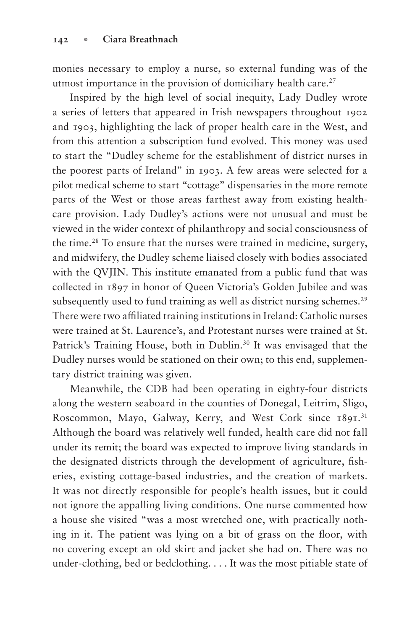monies necessary to employ a nurse, so external funding was of the utmost importance in the provision of domiciliary health care. $27$ 

Inspired by the high level of social inequity, Lady Dudley wrote a series of letters that appeared in Irish newspapers throughout 1902 and 1903, highlighting the lack of proper health care in the West, and from this attention a subscription fund evolved. This money was used to start the "Dudley scheme for the establishment of district nurses in the poorest parts of Ireland" in 1903. A few areas were selected for a pilot medical scheme to start "cottage" dispensaries in the more remote parts of the West or those areas farthest away from existing healthcare provision. Lady Dudley's actions were not unusual and must be viewed in the wider context of philanthropy and social consciousness of the time.28 To ensure that the nurses were trained in medicine, surgery, and midwifery, the Dudley scheme liaised closely with bodies associated with the QVJIN. This institute emanated from a public fund that was collected in 1897 in honor of Queen Victoria's Golden Jubilee and was subsequently used to fund training as well as district nursing schemes.<sup>29</sup> There were two affiliated training institutions in Ireland: Catholic nurses were trained at St. Laurence's, and Protestant nurses were trained at St. Patrick's Training House, both in Dublin.<sup>30</sup> It was envisaged that the Dudley nurses would be stationed on their own; to this end, supplementary district training was given.

Meanwhile, the CDB had been operating in eighty-four districts along the western seaboard in the counties of Donegal, Leitrim, Sligo, Roscommon, Mayo, Galway, Kerry, and West Cork since 1891.<sup>31</sup> Although the board was relatively well funded, health care did not fall under its remit; the board was expected to improve living standards in the designated districts through the development of agriculture, fisheries, existing cottage-based industries, and the creation of markets. It was not directly responsible for people's health issues, but it could not ignore the appalling living conditions. One nurse commented how a house she visited "was a most wretched one, with practically nothing in it. The patient was lying on a bit of grass on the floor, with no covering except an old skirt and jacket she had on. There was no under-clothing, bed or bedclothing. . . . It was the most pitiable state of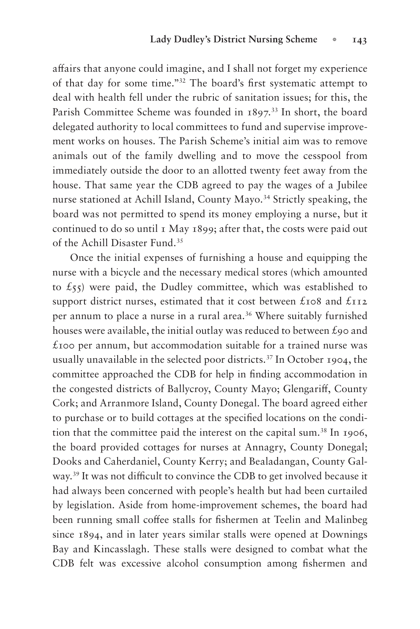affairs that anyone could imagine, and I shall not forget my experience of that day for some time."<sup>32</sup> The board's first systematic attempt to deal with health fell under the rubric of sanitation issues; for this, the Parish Committee Scheme was founded in 1897.<sup>33</sup> In short, the board delegated authority to local committees to fund and supervise improvement works on houses. The Parish Scheme's initial aim was to remove animals out of the family dwelling and to move the cesspool from immediately outside the door to an allotted twenty feet away from the house. That same year the CDB agreed to pay the wages of a Jubilee nurse stationed at Achill Island, County Mayo.<sup>34</sup> Strictly speaking, the board was not permitted to spend its money employing a nurse, but it continued to do so until 1 May 1899; after that, the costs were paid out of the Achill Disaster Fund.35

Once the initial expenses of furnishing a house and equipping the nurse with a bicycle and the necessary medical stores (which amounted to  $\text{\pounds}_{55}$ ) were paid, the Dudley committee, which was established to support district nurses, estimated that it cost between  $\pounds$ 108 and  $\pounds$ 112 per annum to place a nurse in a rural area.<sup>36</sup> Where suitably furnished houses were available, the initial outlay was reduced to between  $\mathcal{L}_{90}$  and  $\pounds$ 100 per annum, but accommodation suitable for a trained nurse was usually unavailable in the selected poor districts.37 In October 1904, the committee approached the CDB for help in finding accommodation in the congested districts of Ballycroy, County Mayo; Glengariff, County Cork; and Arranmore Island, County Donegal. The board agreed either to purchase or to build cottages at the specified locations on the condition that the committee paid the interest on the capital sum.38 In 1906, the board provided cottages for nurses at Annagry, County Donegal; Dooks and Caherdaniel, County Kerry; and Bealadangan, County Galway.<sup>39</sup> It was not difficult to convince the CDB to get involved because it had always been concerned with people's health but had been curtailed by legislation. Aside from home-improvement schemes, the board had been running small coffee stalls for fishermen at Teelin and Malinbeg since 1894, and in later years similar stalls were opened at Downings Bay and Kincasslagh. These stalls were designed to combat what the CDB felt was excessive alcohol consumption among fishermen and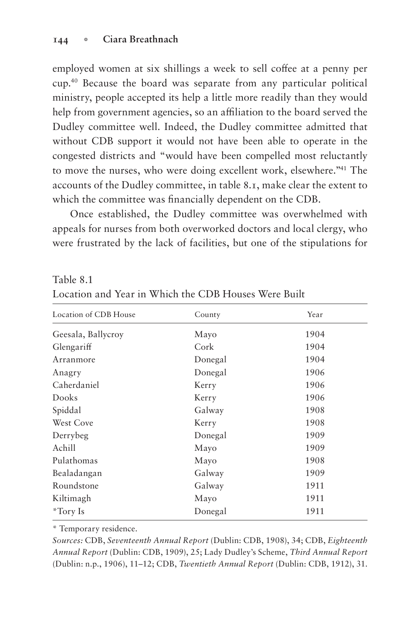employed women at six shillings a week to sell coffee at a penny per cup.40 Because the board was separate from any particular political ministry, people accepted its help a little more readily than they would help from government agencies, so an affiliation to the board served the Dudley committee well. Indeed, the Dudley committee admitted that without CDB support it would not have been able to operate in the congested districts and "would have been compelled most reluctantly to move the nurses, who were doing excellent work, elsewhere."41 The accounts of the Dudley committee, in table 8.1, make clear the extent to which the committee was financially dependent on the CDB.

Once established, the Dudley committee was overwhelmed with appeals for nurses from both overworked doctors and local clergy, who were frustrated by the lack of facilities, but one of the stipulations for

## Table 8.1

| Location and Year in Which the CDB Houses Were Built |
|------------------------------------------------------|
|------------------------------------------------------|

| Location of CDB House | County  | Year |
|-----------------------|---------|------|
| Geesala, Ballycroy    | Mayo    | 1904 |
| Glengariff            | Cork    | 1904 |
| Arranmore             | Donegal | 1904 |
| Anagry                | Donegal | 1906 |
| Caherdaniel           | Kerry   | 1906 |
| Dooks                 | Kerry   | 1906 |
| Spiddal               | Galway  | 1908 |
| West Cove             | Kerry   | 1908 |
| Derrybeg              | Donegal | 1909 |
| Achill                | Mayo    | 1909 |
| Pulathomas            | Mayo    | 1908 |
| Bealadangan           | Galway  | 1909 |
| Roundstone            | Galway  | 1911 |
| Kiltimagh             | Mayo    | 1911 |
| *Tory Is              | Donegal | 1911 |

\* Temporary residence.

*Sources:* CDB, *Seventeenth Annual Report* (Dublin: CDB, 1908), 34; CDB, *Eighteenth Annual Report* (Dublin: CDB, 1909), 25; Lady Dudley's Scheme, *Third Annual Report*  (Dublin: n.p., 1906), 11–12; CDB, *Twentieth Annual Report* (Dublin: CDB, 1912), 31.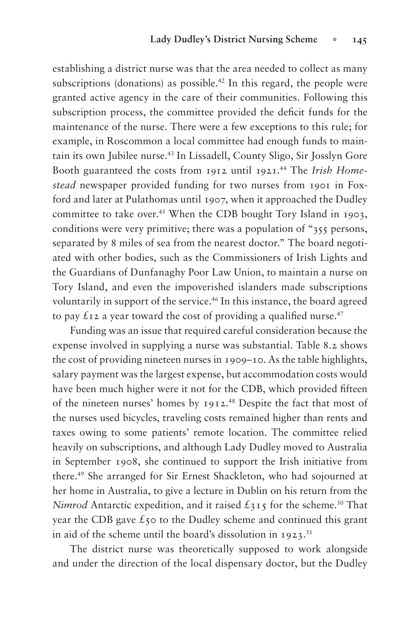establishing a district nurse was that the area needed to collect as many subscriptions (donations) as possible.<sup>42</sup> In this regard, the people were granted active agency in the care of their communities. Following this subscription process, the committee provided the deficit funds for the maintenance of the nurse. There were a few exceptions to this rule; for example, in Roscommon a local committee had enough funds to maintain its own Jubilee nurse.43 In Lissadell, County Sligo, Sir Josslyn Gore Booth guaranteed the costs from 1912 until 1921.44 The *Irish Homestead* newspaper provided funding for two nurses from 1901 in Foxford and later at Pulathomas until 1907, when it approached the Dudley committee to take over.<sup>45</sup> When the CDB bought Tory Island in 1903, conditions were very primitive; there was a population of "355 persons, separated by 8 miles of sea from the nearest doctor." The board negotiated with other bodies, such as the Commissioners of Irish Lights and the Guardians of Dunfanaghy Poor Law Union, to maintain a nurse on Tory Island, and even the impoverished islanders made subscriptions voluntarily in support of the service.<sup>46</sup> In this instance, the board agreed to pay  $\pounds$ 12 a year toward the cost of providing a qualified nurse.<sup>47</sup>

Funding was an issue that required careful consideration because the expense involved in supplying a nurse was substantial. Table 8.2 shows the cost of providing nineteen nurses in 1909–10. As the table highlights, salary payment was the largest expense, but accommodation costs would have been much higher were it not for the CDB, which provided fifteen of the nineteen nurses' homes by 1912.48 Despite the fact that most of the nurses used bicycles, traveling costs remained higher than rents and taxes owing to some patients' remote location. The committee relied heavily on subscriptions, and although Lady Dudley moved to Australia in September 1908, she continued to support the Irish initiative from there.49 She arranged for Sir Ernest Shackleton, who had sojourned at her home in Australia, to give a lecture in Dublin on his return from the *Nimrod* Antarctic expedition, and it raised  $\pounds$ 315 for the scheme.<sup>50</sup> That year the CDB gave  $\xi$ 50 to the Dudley scheme and continued this grant in aid of the scheme until the board's dissolution in  $1923$ .<sup>51</sup>

The district nurse was theoretically supposed to work alongside and under the direction of the local dispensary doctor, but the Dudley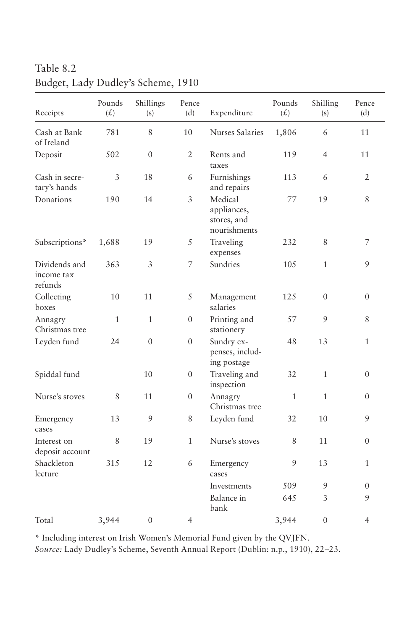Table 8.2

| Receipts                               | Pounds<br>(f) | Shillings<br>(s) | Pence<br>(d)     | Expenditure                                           | Pounds<br>(f) | Shilling<br>(s)  | Pence<br>(d)   |
|----------------------------------------|---------------|------------------|------------------|-------------------------------------------------------|---------------|------------------|----------------|
| Cash at Bank<br>of Ireland             | 781           | 8                | 10               | <b>Nurses Salaries</b>                                | 1,806         | 6                | 11             |
| Deposit                                | 502           | $\theta$         | $\overline{2}$   | Rents and<br>taxes                                    | 119           | $\overline{4}$   | 11             |
| Cash in secre-<br>tary's hands         | 3             | 18               | 6                | Furnishings<br>and repairs                            | 113           | 6                | 2              |
| Donations                              | 190           | 14               | 3                | Medical<br>appliances,<br>stores, and<br>nourishments | 77            | 19               | 8              |
| Subscriptions*                         | 1,688         | 19               | 5                | Traveling<br>expenses                                 | 232           | $\,$ 8 $\,$      | 7              |
| Dividends and<br>income tax<br>refunds | 363           | 3                | 7                | Sundries                                              | 105           | $\mathbf{1}$     | 9              |
| Collecting<br>boxes                    | 10            | 11               | 5                | Management<br>salaries                                | 125           | $\overline{0}$   | $\overline{0}$ |
| Annagry<br>Christmas tree              | $\mathbf{1}$  | $\mathbf{1}$     | $\overline{0}$   | Printing and<br>stationery                            | 57            | 9                | 8              |
| Leyden fund                            | 24            | $\theta$         | $\overline{0}$   | Sundry ex-<br>penses, includ-<br>ing postage          | 48            | 13               | 1              |
| Spiddal fund                           |               | 10               | $\boldsymbol{0}$ | Traveling and<br>inspection                           | 32            | $\mathbf{1}$     | $\overline{0}$ |
| Nurse's stoves                         | 8             | 11               | $\overline{0}$   | Annagry<br>Christmas tree                             | $\mathbf{1}$  | $\mathbf{1}$     | $\theta$       |
| Emergency<br>cases                     | 13            | 9                | 8                | Leyden fund                                           | 32            | 10               | 9              |
| Interest on<br>deposit account         | 8             | 19               | $\mathbf{1}$     | Nurse's stoves                                        | 8             | 11               | $\overline{0}$ |
| Shackleton<br>lecture                  | 315           | 12               | 6                | Emergency<br>cases                                    | 9             | 13               | 1              |
|                                        |               |                  |                  | Investments                                           | 509           | 9                | $\theta$       |
|                                        |               |                  |                  | Balance in<br>bank                                    | 645           | 3                | 9              |
| Total                                  | 3,944         | $\mathbf{0}$     | $\overline{4}$   |                                                       | 3,944         | $\boldsymbol{0}$ | $\overline{4}$ |

## Budget, Lady Dudley's Scheme, 1910

\* Including interest on Irish Women's Memorial Fund given by the QVJFN.

*Source:* Lady Dudley's Scheme, Seventh Annual Report (Dublin: n.p., 1910), 22–23.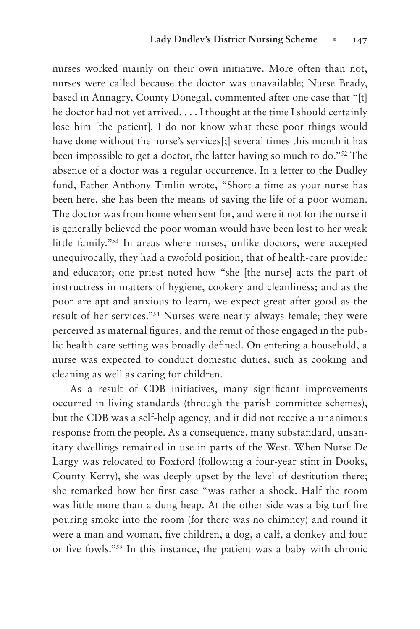nurses worked mainly on their own initiative. More often than not, nurses were called because the doctor was unavailable; Nurse Brady, based in Annagry, County Donegal, commented after one case that "[t] he doctor had not yet arrived. . . . I thought at the time I should certainly lose him [the patient]. I do not know what these poor things would have done without the nurse's services[;] several times this month it has been impossible to get a doctor, the latter having so much to do."52 The absence of a doctor was a regular occurrence. In a letter to the Dudley fund, Father Anthony Timlin wrote, "Short a time as your nurse has been here, she has been the means of saving the life of a poor woman. The doctor was from home when sent for, and were it not for the nurse it is generally believed the poor woman would have been lost to her weak little family."53 In areas where nurses, unlike doctors, were accepted unequivocally, they had a twofold position, that of health-care provider and educator; one priest noted how "she [the nurse] acts the part of instructress in matters of hygiene, cookery and cleanliness; and as the poor are apt and anxious to learn, we expect great after good as the result of her services."54 Nurses were nearly always female; they were perceived as maternal figures, and the remit of those engaged in the public health-care setting was broadly defined. On entering a household, a nurse was expected to conduct domestic duties, such as cooking and cleaning as well as caring for children.

As a result of CDB initiatives, many significant improvements occurred in living standards (through the parish committee schemes), but the CDB was a self-help agency, and it did not receive a unanimous response from the people. As a consequence, many substandard, unsanitary dwellings remained in use in parts of the West. When Nurse De Largy was relocated to Foxford (following a four-year stint in Dooks, County Kerry), she was deeply upset by the level of destitution there; she remarked how her first case "was rather a shock. Half the room was little more than a dung heap. At the other side was a big turf fire pouring smoke into the room (for there was no chimney) and round it were a man and woman, five children, a dog, a calf, a donkey and four or five fowls."<sup>55</sup> In this instance, the patient was a baby with chronic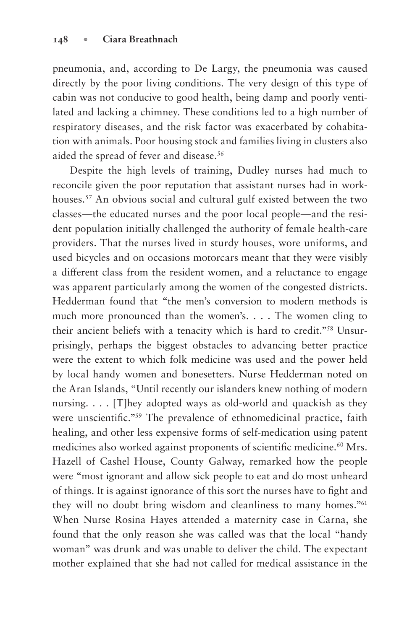pneumonia, and, according to De Largy, the pneumonia was caused directly by the poor living conditions. The very design of this type of cabin was not conducive to good health, being damp and poorly ventilated and lacking a chimney. These conditions led to a high number of respiratory diseases, and the risk factor was exacerbated by cohabitation with animals. Poor housing stock and families living in clusters also aided the spread of fever and disease.<sup>56</sup>

Despite the high levels of training, Dudley nurses had much to reconcile given the poor reputation that assistant nurses had in workhouses.<sup>57</sup> An obvious social and cultural gulf existed between the two classes—the educated nurses and the poor local people—and the resident population initially challenged the authority of female health-care providers. That the nurses lived in sturdy houses, wore uniforms, and used bicycles and on occasions motorcars meant that they were visibly a different class from the resident women, and a reluctance to engage was apparent particularly among the women of the congested districts. Hedderman found that "the men's conversion to modern methods is much more pronounced than the women's. . . . The women cling to their ancient beliefs with a tenacity which is hard to credit."58 Unsurprisingly, perhaps the biggest obstacles to advancing better practice were the extent to which folk medicine was used and the power held by local handy women and bonesetters. Nurse Hedderman noted on the Aran Islands, "Until recently our islanders knew nothing of modern nursing. . . . [T]hey adopted ways as old-world and quackish as they were unscientific."<sup>59</sup> The prevalence of ethnomedicinal practice, faith healing, and other less expensive forms of self-medication using patent medicines also worked against proponents of scientific medicine.<sup>60</sup> Mrs. Hazell of Cashel House, County Galway, remarked how the people were "most ignorant and allow sick people to eat and do most unheard of things. It is against ignorance of this sort the nurses have to fight and they will no doubt bring wisdom and cleanliness to many homes."61 When Nurse Rosina Hayes attended a maternity case in Carna, she found that the only reason she was called was that the local "handy woman" was drunk and was unable to deliver the child. The expectant mother explained that she had not called for medical assistance in the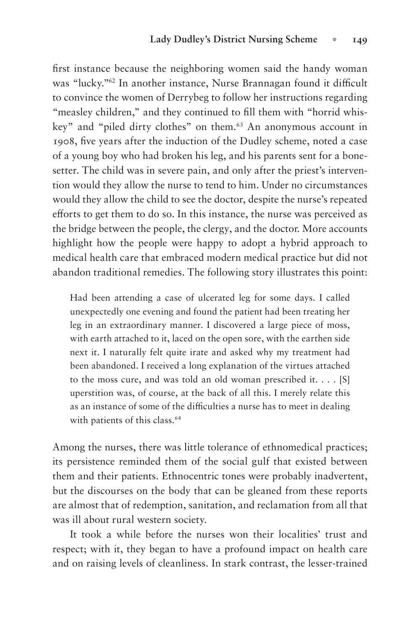first instance because the neighboring women said the handy woman was "lucky."<sup>62</sup> In another instance, Nurse Brannagan found it difficult to convince the women of Derrybeg to follow her instructions regarding "measley children," and they continued to fill them with "horrid whiskey" and "piled dirty clothes" on them.63 An anonymous account in 1908, five years after the induction of the Dudley scheme, noted a case of a young boy who had broken his leg, and his parents sent for a bonesetter. The child was in severe pain, and only after the priest's intervention would they allow the nurse to tend to him. Under no circumstances would they allow the child to see the doctor, despite the nurse's repeated efforts to get them to do so. In this instance, the nurse was perceived as the bridge between the people, the clergy, and the doctor. More accounts highlight how the people were happy to adopt a hybrid approach to medical health care that embraced modern medical practice but did not abandon traditional remedies. The following story illustrates this point:

Had been attending a case of ulcerated leg for some days. I called unexpectedly one evening and found the patient had been treating her leg in an extraordinary manner. I discovered a large piece of moss, with earth attached to it, laced on the open sore, with the earthen side next it. I naturally felt quite irate and asked why my treatment had been abandoned. I received a long explanation of the virtues attached to the moss cure, and was told an old woman prescribed it. . . . [S] uperstition was, of course, at the back of all this. I merely relate this as an instance of some of the difficulties a nurse has to meet in dealing with patients of this class.<sup>64</sup>

Among the nurses, there was little tolerance of ethnomedical practices; its persistence reminded them of the social gulf that existed between them and their patients. Ethnocentric tones were probably inadvertent, but the discourses on the body that can be gleaned from these reports are almost that of redemption, sanitation, and reclamation from all that was ill about rural western society.

It took a while before the nurses won their localities' trust and respect; with it, they began to have a profound impact on health care and on raising levels of cleanliness. In stark contrast, the lesser-trained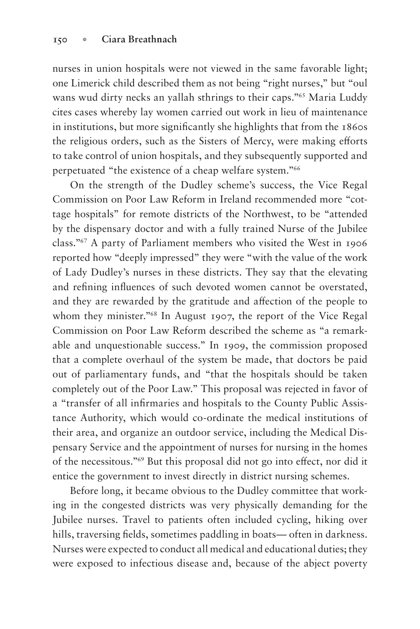nurses in union hospitals were not viewed in the same favorable light; one Limerick child described them as not being "right nurses," but "oul wans wud dirty necks an yallah sthrings to their caps."<sup>65</sup> Maria Luddy cites cases whereby lay women carried out work in lieu of maintenance in institutions, but more significantly she highlights that from the 1860s the religious orders, such as the Sisters of Mercy, were making efforts to take control of union hospitals, and they subsequently supported and perpetuated "the existence of a cheap welfare system."66

On the strength of the Dudley scheme's success, the Vice Regal Commission on Poor Law Reform in Ireland recommended more "cottage hospitals" for remote districts of the Northwest, to be "attended by the dispensary doctor and with a fully trained Nurse of the Jubilee class."67 A party of Parliament members who visited the West in 1906 reported how "deeply impressed" they were "with the value of the work of Lady Dudley's nurses in these districts. They say that the elevating and refining influences of such devoted women cannot be overstated, and they are rewarded by the gratitude and affection of the people to whom they minister."68 In August 1907, the report of the Vice Regal Commission on Poor Law Reform described the scheme as "a remarkable and unquestionable success." In 1909, the commission proposed that a complete overhaul of the system be made, that doctors be paid out of parliamentary funds, and "that the hospitals should be taken completely out of the Poor Law." This proposal was rejected in favor of a "transfer of all infirmaries and hospitals to the County Public Assistance Authority, which would co-ordinate the medical institutions of their area, and organize an outdoor service, including the Medical Dispensary Service and the appointment of nurses for nursing in the homes of the necessitous."<sup>69</sup> But this proposal did not go into effect, nor did it entice the government to invest directly in district nursing schemes.

Before long, it became obvious to the Dudley committee that working in the congested districts was very physically demanding for the Jubilee nurses. Travel to patients often included cycling, hiking over hills, traversing fields, sometimes paddling in boats— often in darkness. Nurses were expected to conduct all medical and educational duties; they were exposed to infectious disease and, because of the abject poverty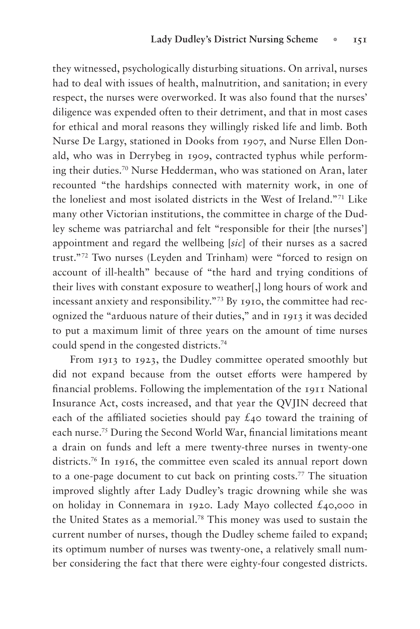they witnessed, psychologically disturbing situations. On arrival, nurses had to deal with issues of health, malnutrition, and sanitation; in every respect, the nurses were overworked. It was also found that the nurses' diligence was expended often to their detriment, and that in most cases for ethical and moral reasons they willingly risked life and limb. Both Nurse De Largy, stationed in Dooks from 1907, and Nurse Ellen Donald, who was in Derrybeg in 1909, contracted typhus while performing their duties.70 Nurse Hedderman, who was stationed on Aran, later recounted "the hardships connected with maternity work, in one of the loneliest and most isolated districts in the West of Ireland."71 Like many other Victorian institutions, the committee in charge of the Dudley scheme was patriarchal and felt "responsible for their [the nurses'] appointment and regard the wellbeing [*sic*] of their nurses as a sacred trust."72 Two nurses (Leyden and Trinham) were "forced to resign on account of ill-health" because of "the hard and trying conditions of their lives with constant exposure to weather[,] long hours of work and incessant anxiety and responsibility."73 By 1910, the committee had recognized the "arduous nature of their duties," and in 1913 it was decided to put a maximum limit of three years on the amount of time nurses could spend in the congested districts.74

From 1913 to 1923, the Dudley committee operated smoothly but did not expand because from the outset efforts were hampered by financial problems. Following the implementation of the 1911 National Insurance Act, costs increased, and that year the QVJIN decreed that each of the affiliated societies should pay  $\mathcal{L}_{40}$  toward the training of each nurse.<sup>75</sup> During the Second World War, financial limitations meant a drain on funds and left a mere twenty-three nurses in twenty-one districts.76 In 1916, the committee even scaled its annual report down to a one-page document to cut back on printing costs.77 The situation improved slightly after Lady Dudley's tragic drowning while she was on holiday in Connemara in 1920. Lady Mayo collected £40,000 in the United States as a memorial.<sup>78</sup> This money was used to sustain the current number of nurses, though the Dudley scheme failed to expand; its optimum number of nurses was twenty-one, a relatively small number considering the fact that there were eighty-four congested districts.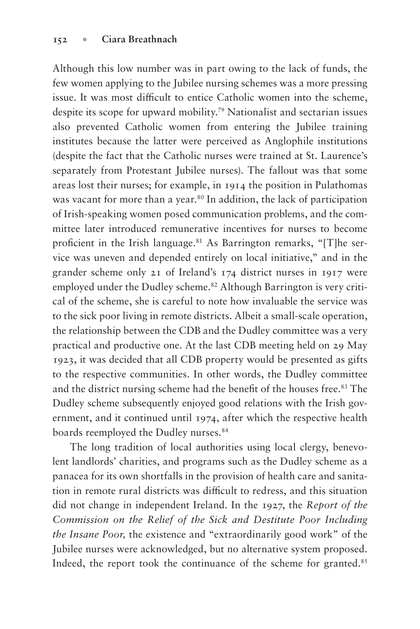Although this low number was in part owing to the lack of funds, the few women applying to the Jubilee nursing schemes was a more pressing issue. It was most difficult to entice Catholic women into the scheme, despite its scope for upward mobility.79 Nationalist and sectarian issues also prevented Catholic women from entering the Jubilee training institutes because the latter were perceived as Anglophile institutions (despite the fact that the Catholic nurses were trained at St. Laurence's separately from Protestant Jubilee nurses). The fallout was that some areas lost their nurses; for example, in 1914 the position in Pulathomas was vacant for more than a year.<sup>80</sup> In addition, the lack of participation of Irish-speaking women posed communication problems, and the committee later introduced remunerative incentives for nurses to become proficient in the Irish language.<sup>81</sup> As Barrington remarks, "[T]he service was uneven and depended entirely on local initiative," and in the grander scheme only 21 of Ireland's 174 district nurses in 1917 were employed under the Dudley scheme.<sup>82</sup> Although Barrington is very critical of the scheme, she is careful to note how invaluable the service was to the sick poor living in remote districts. Albeit a small-scale operation, the relationship between the CDB and the Dudley committee was a very practical and productive one. At the last CDB meeting held on 29 May 1923, it was decided that all CDB property would be presented as gifts to the respective communities. In other words, the Dudley committee and the district nursing scheme had the benefit of the houses free.<sup>83</sup> The Dudley scheme subsequently enjoyed good relations with the Irish government, and it continued until 1974, after which the respective health boards reemployed the Dudley nurses.<sup>84</sup>

The long tradition of local authorities using local clergy, benevolent landlords' charities, and programs such as the Dudley scheme as a panacea for its own shortfalls in the provision of health care and sanitation in remote rural districts was difficult to redress, and this situation did not change in independent Ireland. In the 1927, the *Report of the Commission on the Relief of the Sick and Destitute Poor Including the Insane Poor,* the existence and "extraordinarily good work" of the Jubilee nurses were acknowledged, but no alternative system proposed. Indeed, the report took the continuance of the scheme for granted.<sup>85</sup>